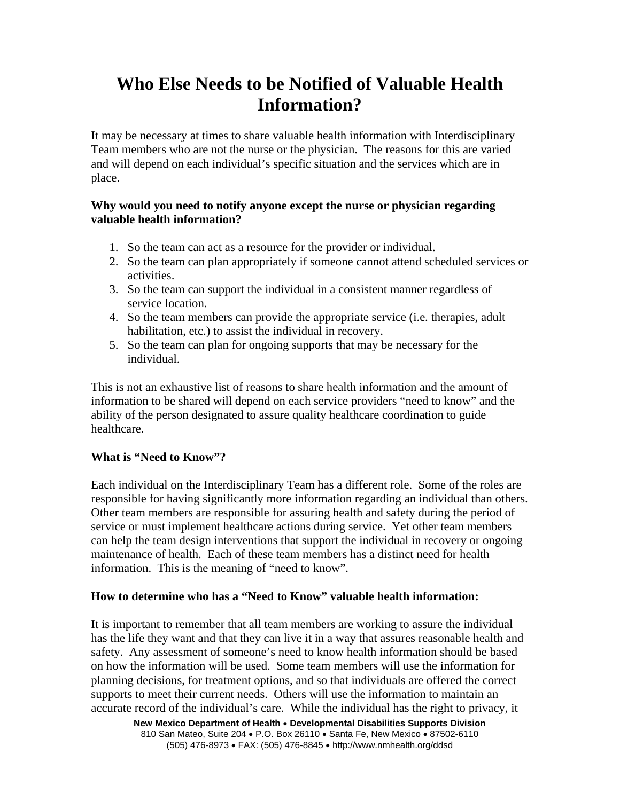# **Who Else Needs to be Notified of Valuable Health Information?**

It may be necessary at times to share valuable health information with Interdisciplinary Team members who are not the nurse or the physician. The reasons for this are varied and will depend on each individual's specific situation and the services which are in place.

## **Why would you need to notify anyone except the nurse or physician regarding valuable health information?**

- 1. So the team can act as a resource for the provider or individual.
- 2. So the team can plan appropriately if someone cannot attend scheduled services or activities.
- 3. So the team can support the individual in a consistent manner regardless of service location.
- 4. So the team members can provide the appropriate service (i.e. therapies, adult habilitation, etc.) to assist the individual in recovery.
- 5. So the team can plan for ongoing supports that may be necessary for the individual.

This is not an exhaustive list of reasons to share health information and the amount of information to be shared will depend on each service providers "need to know" and the ability of the person designated to assure quality healthcare coordination to guide healthcare.

# **What is "Need to Know"?**

Each individual on the Interdisciplinary Team has a different role. Some of the roles are responsible for having significantly more information regarding an individual than others. Other team members are responsible for assuring health and safety during the period of service or must implement healthcare actions during service. Yet other team members can help the team design interventions that support the individual in recovery or ongoing maintenance of health. Each of these team members has a distinct need for health information. This is the meaning of "need to know".

# **How to determine who has a "Need to Know" valuable health information:**

It is important to remember that all team members are working to assure the individual has the life they want and that they can live it in a way that assures reasonable health and safety. Any assessment of someone's need to know health information should be based on how the information will be used. Some team members will use the information for planning decisions, for treatment options, and so that individuals are offered the correct supports to meet their current needs. Others will use the information to maintain an accurate record of the individual's care. While the individual has the right to privacy, it

**New Mexico Department of Health** • **Developmental Disabilities Supports Division** 810 San Mateo, Suite 204 • P.O. Box 26110 • Santa Fe, New Mexico • 87502-6110 (505) 476-8973 • FAX: (505) 476-8845 • http://www.nmhealth.org/ddsd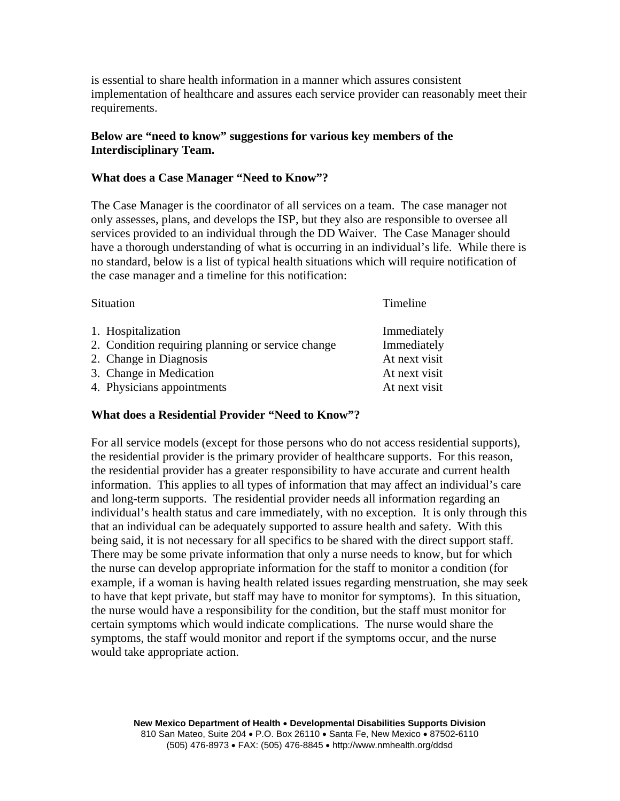is essential to share health information in a manner which assures consistent implementation of healthcare and assures each service provider can reasonably meet their requirements.

## **Below are "need to know" suggestions for various key members of the Interdisciplinary Team.**

#### **What does a Case Manager "Need to Know"?**

The Case Manager is the coordinator of all services on a team. The case manager not only assesses, plans, and develops the ISP, but they also are responsible to oversee all services provided to an individual through the DD Waiver. The Case Manager should have a thorough understanding of what is occurring in an individual's life. While there is no standard, below is a list of typical health situations which will require notification of the case manager and a timeline for this notification:

| Situation |                                                   | Timeline      |
|-----------|---------------------------------------------------|---------------|
|           | 1. Hospitalization                                | Immediately   |
|           | 2. Condition requiring planning or service change | Immediately   |
|           | 2. Change in Diagnosis                            | At next visit |
|           | 3. Change in Medication                           | At next visit |
|           | 4. Physicians appointments                        | At next visit |

#### **What does a Residential Provider "Need to Know"?**

For all service models (except for those persons who do not access residential supports), the residential provider is the primary provider of healthcare supports. For this reason, the residential provider has a greater responsibility to have accurate and current health information. This applies to all types of information that may affect an individual's care and long-term supports. The residential provider needs all information regarding an individual's health status and care immediately, with no exception. It is only through this that an individual can be adequately supported to assure health and safety. With this being said, it is not necessary for all specifics to be shared with the direct support staff. There may be some private information that only a nurse needs to know, but for which the nurse can develop appropriate information for the staff to monitor a condition (for example, if a woman is having health related issues regarding menstruation, she may seek to have that kept private, but staff may have to monitor for symptoms). In this situation, the nurse would have a responsibility for the condition, but the staff must monitor for certain symptoms which would indicate complications. The nurse would share the symptoms, the staff would monitor and report if the symptoms occur, and the nurse would take appropriate action.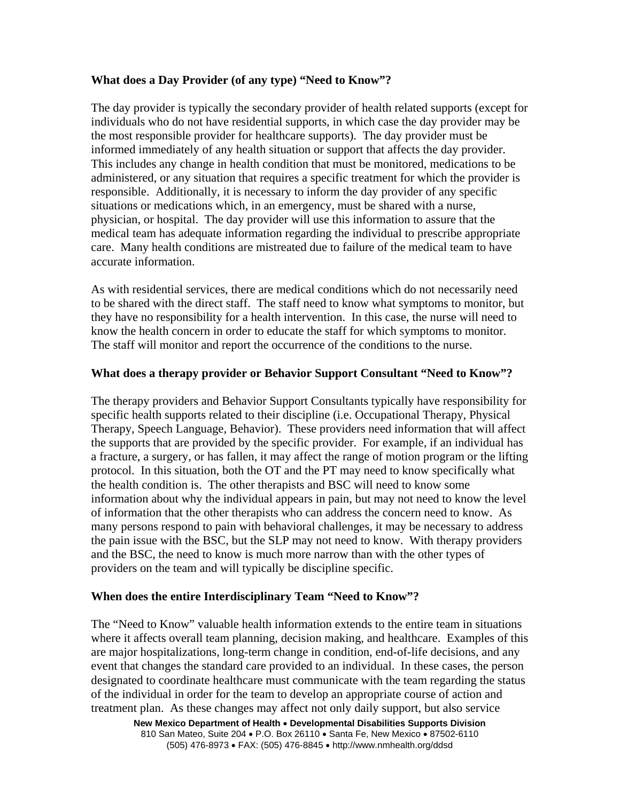## **What does a Day Provider (of any type) "Need to Know"?**

The day provider is typically the secondary provider of health related supports (except for individuals who do not have residential supports, in which case the day provider may be the most responsible provider for healthcare supports). The day provider must be informed immediately of any health situation or support that affects the day provider. This includes any change in health condition that must be monitored, medications to be administered, or any situation that requires a specific treatment for which the provider is responsible. Additionally, it is necessary to inform the day provider of any specific situations or medications which, in an emergency, must be shared with a nurse, physician, or hospital. The day provider will use this information to assure that the medical team has adequate information regarding the individual to prescribe appropriate care. Many health conditions are mistreated due to failure of the medical team to have accurate information.

As with residential services, there are medical conditions which do not necessarily need to be shared with the direct staff. The staff need to know what symptoms to monitor, but they have no responsibility for a health intervention. In this case, the nurse will need to know the health concern in order to educate the staff for which symptoms to monitor. The staff will monitor and report the occurrence of the conditions to the nurse.

#### **What does a therapy provider or Behavior Support Consultant "Need to Know"?**

The therapy providers and Behavior Support Consultants typically have responsibility for specific health supports related to their discipline (i.e. Occupational Therapy, Physical Therapy, Speech Language, Behavior). These providers need information that will affect the supports that are provided by the specific provider. For example, if an individual has a fracture, a surgery, or has fallen, it may affect the range of motion program or the lifting protocol. In this situation, both the OT and the PT may need to know specifically what the health condition is. The other therapists and BSC will need to know some information about why the individual appears in pain, but may not need to know the level of information that the other therapists who can address the concern need to know. As many persons respond to pain with behavioral challenges, it may be necessary to address the pain issue with the BSC, but the SLP may not need to know. With therapy providers and the BSC, the need to know is much more narrow than with the other types of providers on the team and will typically be discipline specific.

#### **When does the entire Interdisciplinary Team "Need to Know"?**

**New Mexico Department of Health** • **Developmental Disabilities Supports Division** The "Need to Know" valuable health information extends to the entire team in situations where it affects overall team planning, decision making, and healthcare. Examples of this are major hospitalizations, long-term change in condition, end-of-life decisions, and any event that changes the standard care provided to an individual. In these cases, the person designated to coordinate healthcare must communicate with the team regarding the status of the individual in order for the team to develop an appropriate course of action and treatment plan. As these changes may affect not only daily support, but also service

810 San Mateo, Suite 204 • P.O. Box 26110 • Santa Fe, New Mexico • 87502-6110 (505) 476-8973 • FAX: (505) 476-8845 • http://www.nmhealth.org/ddsd